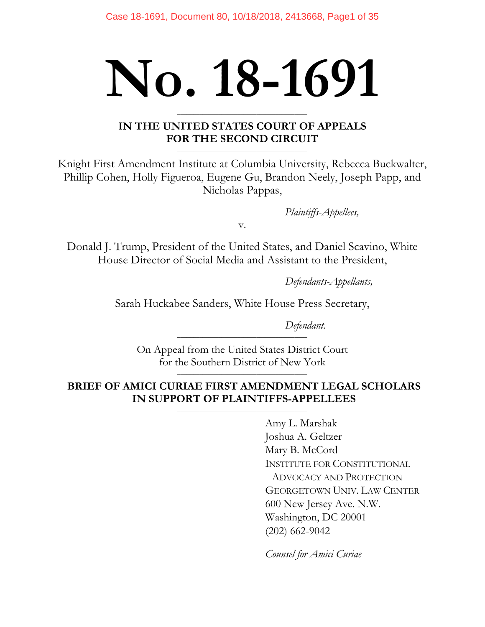# **No. 18-1691 \_\_\_\_\_\_\_\_\_\_\_\_\_\_\_\_\_\_\_\_\_\_\_\_\_\_\_\_\_\_\_\_\_\_\_\_\_\_\_\_\_**

# **IN THE UNITED STATES COURT OF APPEALS FOR THE SECOND CIRCUIT**

**\_\_\_\_\_\_\_\_\_\_\_\_\_\_\_\_\_\_\_\_\_\_\_\_\_\_\_\_\_\_\_\_\_\_\_\_\_\_\_\_\_**

Knight First Amendment Institute at Columbia University, Rebecca Buckwalter, Phillip Cohen, Holly Figueroa, Eugene Gu, Brandon Neely, Joseph Papp, and Nicholas Pappas,

*Plaintiffs-Appellees,*

v.

Donald J. Trump, President of the United States, and Daniel Scavino, White House Director of Social Media and Assistant to the President,

*Defendants-Appellants,*

Sarah Huckabee Sanders, White House Press Secretary,

*Defendant.*

On Appeal from the United States District Court for the Southern District of New York

**\_\_\_\_\_\_\_\_\_\_\_\_\_\_\_\_\_\_\_\_\_\_\_\_\_\_\_\_\_\_\_\_\_\_\_\_\_\_\_\_\_**

**\_\_\_\_\_\_\_\_\_\_\_\_\_\_\_\_\_\_\_\_\_\_\_\_\_\_\_\_\_\_\_\_\_\_\_\_\_\_\_\_\_**

# **BRIEF OF AMICI CURIAE FIRST AMENDMENT LEGAL SCHOLARS IN SUPPORT OF PLAINTIFFS-APPELLEES**

**\_\_\_\_\_\_\_\_\_\_\_\_\_\_\_\_\_\_\_\_\_\_\_\_\_\_\_\_\_\_\_\_\_\_\_\_\_\_\_\_\_**

Amy L. Marshak Joshua A. Geltzer Mary B. McCord INSTITUTE FOR CONSTITUTIONAL ADVOCACY AND PROTECTION GEORGETOWN UNIV. LAW CENTER 600 New Jersey Ave. N.W. Washington, DC 20001 (202) 662-9042

*Counsel for Amici Curiae*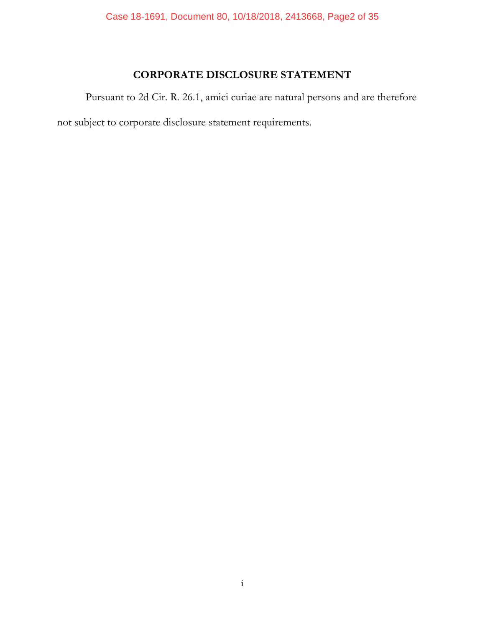# **CORPORATE DISCLOSURE STATEMENT**

Pursuant to 2d Cir. R. 26.1, amici curiae are natural persons and are therefore

not subject to corporate disclosure statement requirements.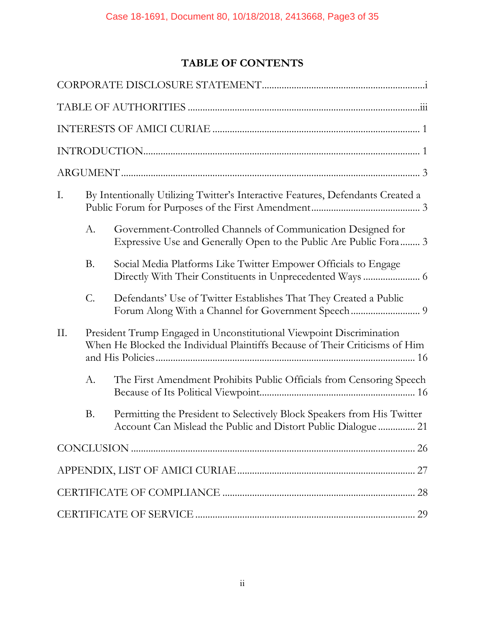# **TABLE OF CONTENTS**

| Ι.  |                 | By Intentionally Utilizing Twitter's Interactive Features, Defendants Created a                                                                      |  |  |  |
|-----|-----------------|------------------------------------------------------------------------------------------------------------------------------------------------------|--|--|--|
|     | А.              | Government-Controlled Channels of Communication Designed for<br>Expressive Use and Generally Open to the Public Are Public Fora 3                    |  |  |  |
|     | <b>B.</b>       | Social Media Platforms Like Twitter Empower Officials to Engage                                                                                      |  |  |  |
|     | $\mathcal{C}$ . | Defendants' Use of Twitter Establishes That They Created a Public                                                                                    |  |  |  |
| II. |                 | President Trump Engaged in Unconstitutional Viewpoint Discrimination<br>When He Blocked the Individual Plaintiffs Because of Their Criticisms of Him |  |  |  |
|     | A.              | The First Amendment Prohibits Public Officials from Censoring Speech                                                                                 |  |  |  |
|     | <b>B.</b>       | Permitting the President to Selectively Block Speakers from His Twitter<br>Account Can Mislead the Public and Distort Public Dialogue  21            |  |  |  |
|     |                 |                                                                                                                                                      |  |  |  |
|     |                 |                                                                                                                                                      |  |  |  |
|     |                 |                                                                                                                                                      |  |  |  |
| 29  |                 |                                                                                                                                                      |  |  |  |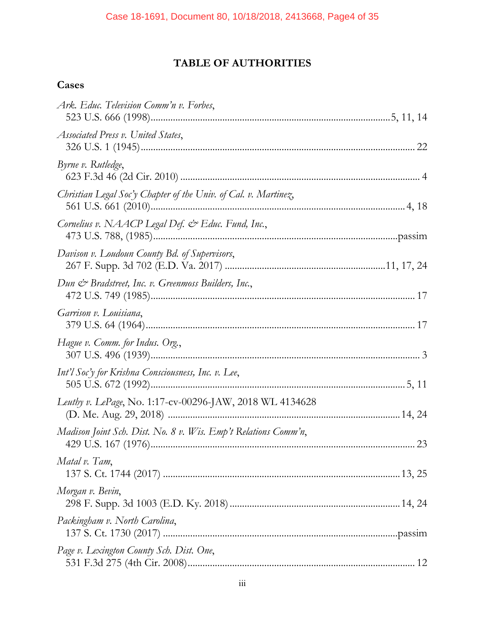# **TABLE OF AUTHORITIES**

# **Cases**

| Ark. Educ. Television Comm'n v. Forbes,                         |  |
|-----------------------------------------------------------------|--|
| Associated Press v. United States,                              |  |
| Byrne v. Rutledge,                                              |  |
| Christian Legal Soc'y Chapter of the Univ. of Cal. v. Martinez, |  |
| Cornelius v. NAACP Legal Def. & Educ. Fund, Inc.,               |  |
| Davison v. Loudoun County Bd. of Supervisors,                   |  |
| Dun & Bradstreet, Inc. v. Greenmoss Builders, Inc.,             |  |
| Garrison v. Louisiana,                                          |  |
| Hague v. Comm. for Indus. Org.,                                 |  |
| Int'l Soc'y for Krishna Consciousness, Inc. v. Lee,             |  |
| Leuthy v. LePage, No. 1:17-cv-00296-JAW, 2018 WL 4134628        |  |
| Madison Joint Sch. Dist. No. 8 v. Wis. Emp't Relations Comm'n,  |  |
| Matal v. Tam,                                                   |  |
| Morgan v. Bevin,                                                |  |
| Packingham v. North Carolina,                                   |  |
| Page v. Lexington County Sch. Dist. One,                        |  |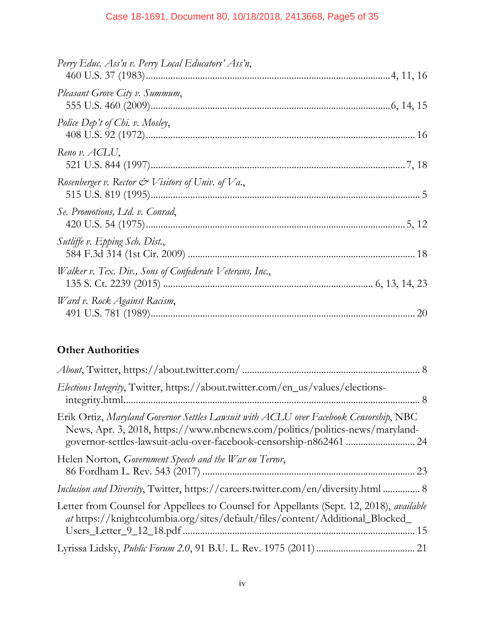## Case 18-1691, Document 80, 10/18/2018, 2413668, Page5 of 35

| Perry Educ. Ass'n v. Perry Local Educators' Ass'n,           |  |
|--------------------------------------------------------------|--|
| Pleasant Grove City v. Summum,                               |  |
| Police Dep't of Chi. v. Mosley,                              |  |
| Reno v. ACLU,                                                |  |
| Rosenberger v. Rector $\mathcal O$ Visitors of Univ. of Va., |  |
| Se. Promotions, Ltd. v. Conrad,                              |  |
| Sutliffe v. Epping Sch. Dist.,                               |  |
| Walker v. Tex. Div., Sons of Confederate Veterans, Inc.,     |  |
| Ward v. Rock Against Racism,                                 |  |

# **Other Authorities**

| <i>Elections Integrity</i> , Twitter, https://about.twitter.com/en_us/values/elections-                                                                                                                                                     |
|---------------------------------------------------------------------------------------------------------------------------------------------------------------------------------------------------------------------------------------------|
| Erik Ortiz, Maryland Governor Settles Lawsuit with ACLU over Facebook Censorship, NBC<br>News, Apr. 3, 2018, https://www.nbcnews.com/politics/politics-news/maryland-<br>governor-settles-lawsuit-aclu-over-facebook-censorship-n862461  24 |
| Helen Norton, Government Speech and the War on Terror,                                                                                                                                                                                      |
| Inclusion and Diversity, Twitter, https://careers.twitter.com/en/diversity.html  8                                                                                                                                                          |
| Letter from Counsel for Appellees to Counsel for Appellants (Sept. 12, 2018), <i>available</i><br>at https://knightcolumbia.org/sites/default/files/content/Additional_Blocked_                                                             |
|                                                                                                                                                                                                                                             |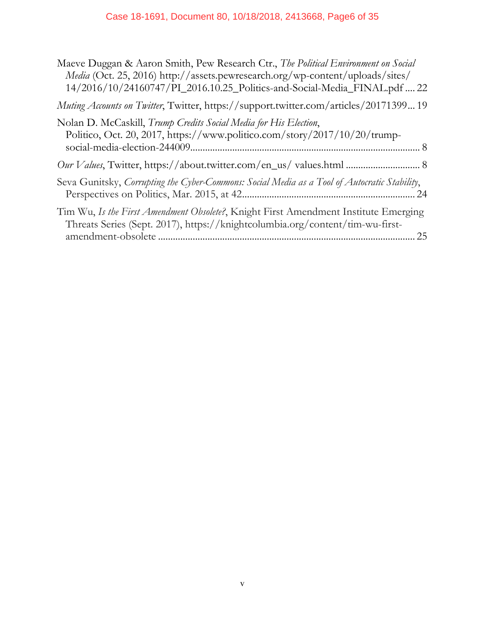# Case 18-1691, Document 80, 10/18/2018, 2413668, Page6 of 35

| Maeve Duggan & Aaron Smith, Pew Research Ctr., The Political Environment on Social<br><i>Media</i> (Oct. 25, 2016) http://assets.pewresearch.org/wp-content/uploads/sites/<br>14/2016/10/24160747/PI_2016.10.25_Politics-and-Social-Media_FINAL.pdf  22 |
|---------------------------------------------------------------------------------------------------------------------------------------------------------------------------------------------------------------------------------------------------------|
| Muting Accounts on Twitter, Twitter, https://support.twitter.com/articles/2017139919                                                                                                                                                                    |
| Nolan D. McCaskill, Trump Credits Social Media for His Election,<br>Politico, Oct. 20, 2017, https://www.politico.com/story/2017/10/20/trump-                                                                                                           |
| Our Values, Twitter, https://about.twitter.com/en_us/ values.html  8                                                                                                                                                                                    |
| Seva Gunitsky, Corrupting the Cyber-Commons: Social Media as a Tool of Autocratic Stability,<br>Perspectives on Politics, Mar. 2015, at 42                                                                                                              |
| Tim Wu, Is the First Amendment Obsolete?, Knight First Amendment Institute Emerging<br>Threats Series (Sept. 2017), https://knightcolumbia.org/content/tim-wu-first-<br>25                                                                              |
|                                                                                                                                                                                                                                                         |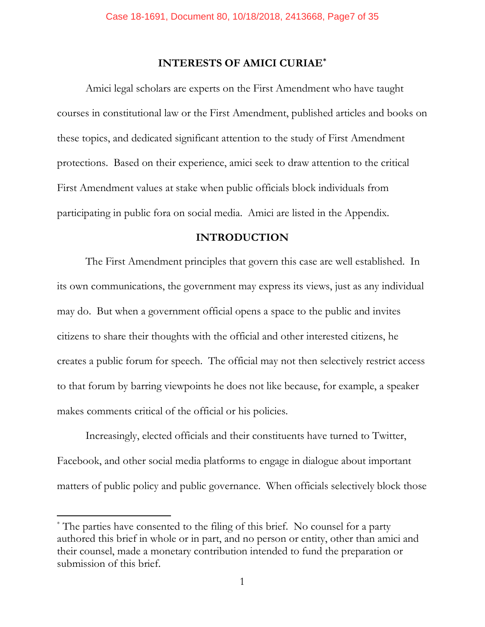## **INTERESTS OF AMICI CURIAE\***

Amici legal scholars are experts on the First Amendment who have taught courses in constitutional law or the First Amendment, published articles and books on these topics, and dedicated significant attention to the study of First Amendment protections. Based on their experience, amici seek to draw attention to the critical First Amendment values at stake when public officials block individuals from participating in public fora on social media. Amici are listed in the Appendix.

#### **INTRODUCTION**

The First Amendment principles that govern this case are well established. In its own communications, the government may express its views, just as any individual may do. But when a government official opens a space to the public and invites citizens to share their thoughts with the official and other interested citizens, he creates a public forum for speech. The official may not then selectively restrict access to that forum by barring viewpoints he does not like because, for example, a speaker makes comments critical of the official or his policies.

Increasingly, elected officials and their constituents have turned to Twitter, Facebook, and other social media platforms to engage in dialogue about important matters of public policy and public governance. When officials selectively block those

<sup>\*</sup> The parties have consented to the filing of this brief. No counsel for a party authored this brief in whole or in part, and no person or entity, other than amici and their counsel, made a monetary contribution intended to fund the preparation or submission of this brief.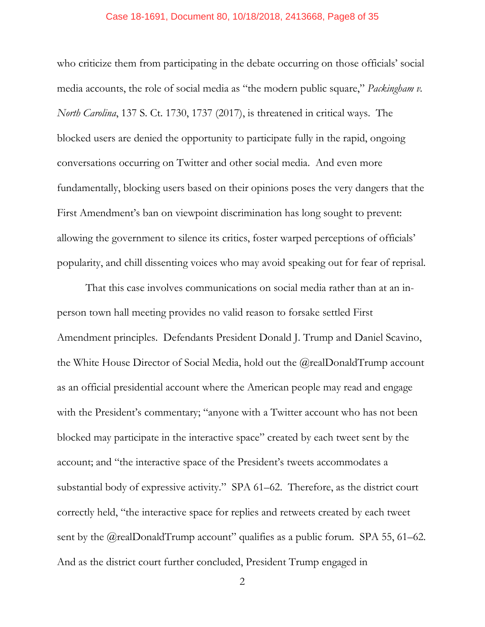#### Case 18-1691, Document 80, 10/18/2018, 2413668, Page8 of 35

who criticize them from participating in the debate occurring on those officials' social media accounts, the role of social media as "the modern public square," *Packingham v. North Carolina*, 137 S. Ct. 1730, 1737 (2017), is threatened in critical ways. The blocked users are denied the opportunity to participate fully in the rapid, ongoing conversations occurring on Twitter and other social media. And even more fundamentally, blocking users based on their opinions poses the very dangers that the First Amendment's ban on viewpoint discrimination has long sought to prevent: allowing the government to silence its critics, foster warped perceptions of officials' popularity, and chill dissenting voices who may avoid speaking out for fear of reprisal.

That this case involves communications on social media rather than at an inperson town hall meeting provides no valid reason to forsake settled First Amendment principles. Defendants President Donald J. Trump and Daniel Scavino, the White House Director of Social Media, hold out the @realDonaldTrump account as an official presidential account where the American people may read and engage with the President's commentary; "anyone with a Twitter account who has not been blocked may participate in the interactive space" created by each tweet sent by the account; and "the interactive space of the President's tweets accommodates a substantial body of expressive activity." SPA 61–62. Therefore, as the district court correctly held, "the interactive space for replies and retweets created by each tweet sent by the @realDonaldTrump account" qualifies as a public forum. SPA 55, 61–62. And as the district court further concluded, President Trump engaged in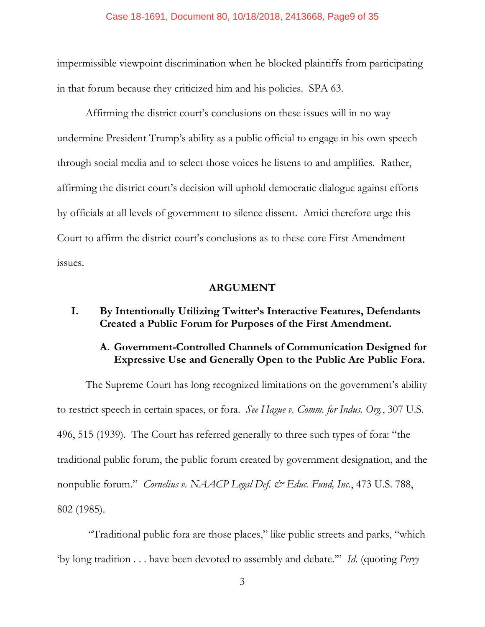#### Case 18-1691, Document 80, 10/18/2018, 2413668, Page9 of 35

impermissible viewpoint discrimination when he blocked plaintiffs from participating in that forum because they criticized him and his policies. SPA 63.

Affirming the district court's conclusions on these issues will in no way undermine President Trump's ability as a public official to engage in his own speech through social media and to select those voices he listens to and amplifies. Rather, affirming the district court's decision will uphold democratic dialogue against efforts by officials at all levels of government to silence dissent. Amici therefore urge this Court to affirm the district court's conclusions as to these core First Amendment issues.

### **ARGUMENT**

## **I. By Intentionally Utilizing Twitter's Interactive Features, Defendants Created a Public Forum for Purposes of the First Amendment.**

## **A. Government-Controlled Channels of Communication Designed for Expressive Use and Generally Open to the Public Are Public Fora.**

The Supreme Court has long recognized limitations on the government's ability to restrict speech in certain spaces, or fora. *See Hague v. Comm. for Indus. Org.*, 307 U.S. 496, 515 (1939). The Court has referred generally to three such types of fora: "the traditional public forum, the public forum created by government designation, and the nonpublic forum." *Cornelius v. NAACP Legal Def. & Educ. Fund, Inc.*, 473 U.S. 788, 802 (1985).

"Traditional public fora are those places," like public streets and parks, "which 'by long tradition . . . have been devoted to assembly and debate.'" *Id.* (quoting *Perry*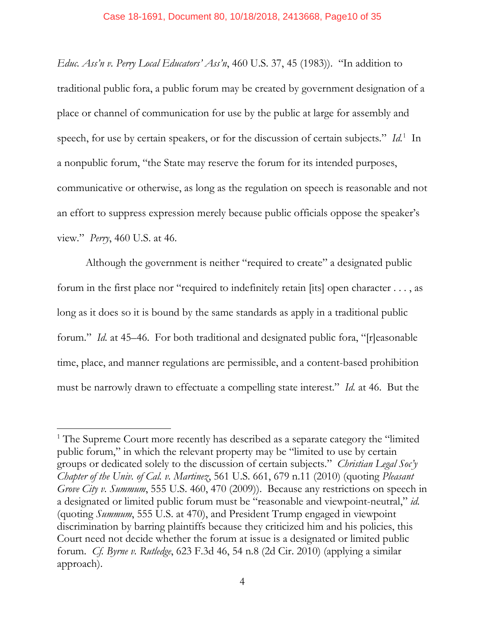*Educ. Ass'n v. Perry Local Educators' Ass'n*, 460 U.S. 37, 45 (1983)). "In addition to traditional public fora, a public forum may be created by government designation of a place or channel of communication for use by the public at large for assembly and speech, for use by certain speakers, or for the discussion of certain subjects." *Id*.<sup>1</sup> In a nonpublic forum, "the State may reserve the forum for its intended purposes, communicative or otherwise, as long as the regulation on speech is reasonable and not an effort to suppress expression merely because public officials oppose the speaker's view." *Perry*, 460 U.S. at 46.

Although the government is neither "required to create" a designated public forum in the first place nor "required to indefinitely retain [its] open character . . . , as long as it does so it is bound by the same standards as apply in a traditional public forum." *Id.* at 45–46. For both traditional and designated public fora, "[r]easonable time, place, and manner regulations are permissible, and a content-based prohibition must be narrowly drawn to effectuate a compelling state interest." *Id.* at 46. But the

<sup>&</sup>lt;sup>1</sup> The Supreme Court more recently has described as a separate category the "limited" public forum," in which the relevant property may be "limited to use by certain groups or dedicated solely to the discussion of certain subjects." *Christian Legal Soc'y Chapter of the Univ. of Cal. v. Martinez*, 561 U.S. 661, 679 n.11 (2010) (quoting *Pleasant Grove City v. Summum*, 555 U.S. 460, 470 (2009)). Because any restrictions on speech in a designated or limited public forum must be "reasonable and viewpoint-neutral," *id.* (quoting *Summum*, 555 U.S. at 470), and President Trump engaged in viewpoint discrimination by barring plaintiffs because they criticized him and his policies, this Court need not decide whether the forum at issue is a designated or limited public forum. *Cf. Byrne v. Rutledge*, 623 F.3d 46, 54 n.8 (2d Cir. 2010) (applying a similar approach).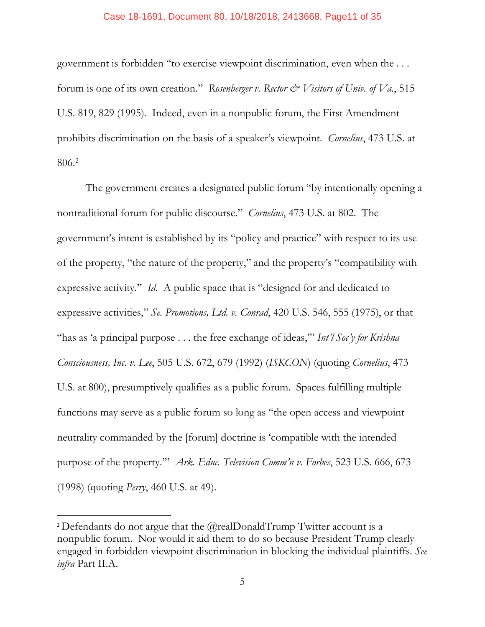#### Case 18-1691, Document 80, 10/18/2018, 2413668, Page11 of 35

government is forbidden "to exercise viewpoint discrimination, even when the . . . forum is one of its own creation." *Rosenberger v. Rector*  $\mathcal{Q}$  *Visitors of Univ. of Va.*, 515 U.S. 819, 829 (1995)*.* Indeed, even in a nonpublic forum, the First Amendment prohibits discrimination on the basis of a speaker's viewpoint. *Cornelius*, 473 U.S. at 806.2

The government creates a designated public forum "by intentionally opening a nontraditional forum for public discourse." *Cornelius*, 473 U.S. at 802. The government's intent is established by its "policy and practice" with respect to its use of the property, "the nature of the property," and the property's "compatibility with expressive activity." *Id.* A public space that is "designed for and dedicated to expressive activities," *Se. Promotions, Ltd. v. Conrad*, 420 U.S. 546, 555 (1975), or that "has as 'a principal purpose . . . the free exchange of ideas,'" *Int'l Soc'y for Krishna Consciousness, Inc. v. Lee*, 505 U.S. 672, 679 (1992) (*ISKCON*) (quoting *Cornelius*, 473 U.S. at 800), presumptively qualifies as a public forum.Spaces fulfilling multiple functions may serve as a public forum so long as "the open access and viewpoint neutrality commanded by the [forum] doctrine is 'compatible with the intended purpose of the property.'" *Ark. Educ. Television Comm'n v. Forbes*, 523 U.S. 666, 673 (1998) (quoting *Perry*, 460 U.S. at 49).

<sup>&</sup>lt;sup>2</sup> Defendants do not argue that the  $@$ realDonaldTrump Twitter account is a nonpublic forum. Nor would it aid them to do so because President Trump clearly engaged in forbidden viewpoint discrimination in blocking the individual plaintiffs. *See infra* Part II.A.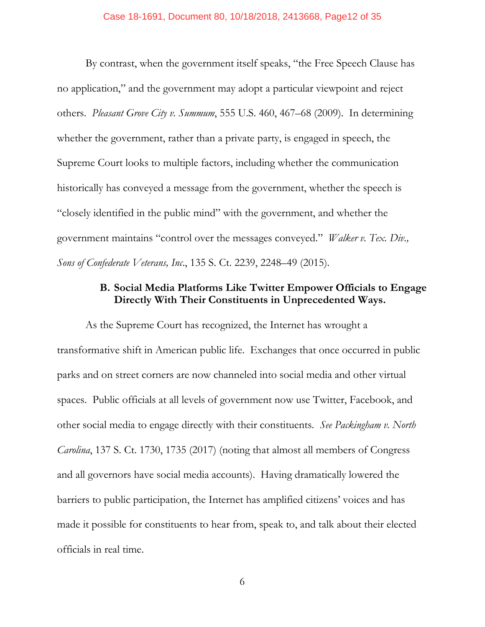By contrast, when the government itself speaks, "the Free Speech Clause has no application," and the government may adopt a particular viewpoint and reject others. *Pleasant Grove City v. Summum*, 555 U.S. 460, 467–68 (2009). In determining whether the government, rather than a private party, is engaged in speech, the Supreme Court looks to multiple factors, including whether the communication historically has conveyed a message from the government, whether the speech is "closely identified in the public mind" with the government, and whether the government maintains "control over the messages conveyed." *Walker v. Tex. Div., Sons of Confederate Veterans, Inc*., 135 S. Ct. 2239, 2248–49 (2015).

## **B. Social Media Platforms Like Twitter Empower Officials to Engage Directly With Their Constituents in Unprecedented Ways.**

As the Supreme Court has recognized, the Internet has wrought a transformative shift in American public life. Exchanges that once occurred in public parks and on street corners are now channeled into social media and other virtual spaces. Public officials at all levels of government now use Twitter, Facebook, and other social media to engage directly with their constituents. *See Packingham v. North Carolina*, 137 S. Ct. 1730, 1735 (2017) (noting that almost all members of Congress and all governors have social media accounts). Having dramatically lowered the barriers to public participation, the Internet has amplified citizens' voices and has made it possible for constituents to hear from, speak to, and talk about their elected officials in real time.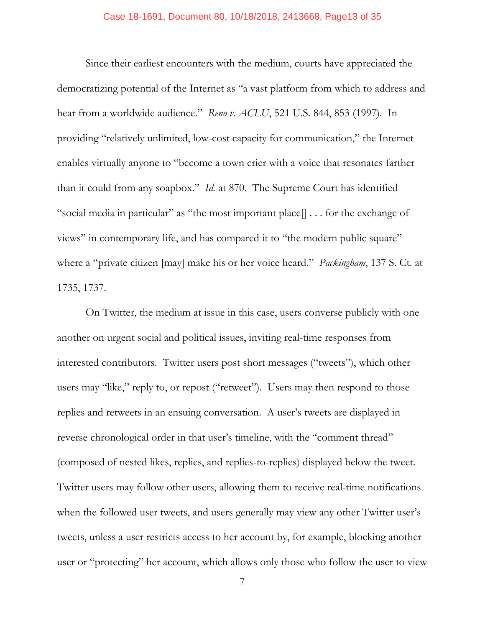Since their earliest encounters with the medium, courts have appreciated the democratizing potential of the Internet as "a vast platform from which to address and hear from a worldwide audience." *Reno v. ACLU*, 521 U.S. 844, 853 (1997). In providing "relatively unlimited, low-cost capacity for communication," the Internet enables virtually anyone to "become a town crier with a voice that resonates farther than it could from any soapbox." *Id.* at 870. The Supreme Court has identified "social media in particular" as "the most important place[] . . . for the exchange of views" in contemporary life, and has compared it to "the modern public square" where a "private citizen [may] make his or her voice heard." *Packingham*, 137 S. Ct. at 1735, 1737.

On Twitter, the medium at issue in this case, users converse publicly with one another on urgent social and political issues, inviting real-time responses from interested contributors. Twitter users post short messages ("tweets"), which other users may "like," reply to, or repost ("retweet"). Users may then respond to those replies and retweets in an ensuing conversation. A user's tweets are displayed in reverse chronological order in that user's timeline, with the "comment thread" (composed of nested likes, replies, and replies-to-replies) displayed below the tweet. Twitter users may follow other users, allowing them to receive real-time notifications when the followed user tweets, and users generally may view any other Twitter user's tweets, unless a user restricts access to her account by, for example, blocking another user or "protecting" her account, which allows only those who follow the user to view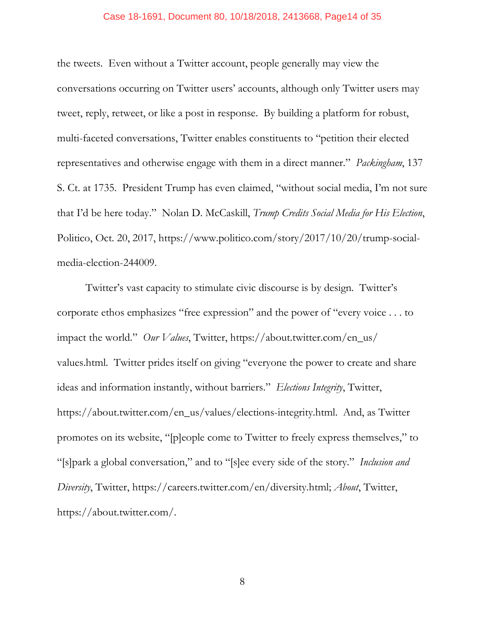#### Case 18-1691, Document 80, 10/18/2018, 2413668, Page14 of 35

the tweets. Even without a Twitter account, people generally may view the conversations occurring on Twitter users' accounts, although only Twitter users may tweet, reply, retweet, or like a post in response. By building a platform for robust, multi-faceted conversations, Twitter enables constituents to "petition their elected representatives and otherwise engage with them in a direct manner." *Packingham*, 137 S. Ct. at 1735. President Trump has even claimed, "without social media, I'm not sure that I'd be here today." Nolan D. McCaskill, *Trump Credits Social Media for His Election*, Politico, Oct. 20, 2017, https://www.politico.com/story/2017/10/20/trump-socialmedia-election-244009.

Twitter's vast capacity to stimulate civic discourse is by design. Twitter's corporate ethos emphasizes "free expression" and the power of "every voice . . . to impact the world." *Our Values*, Twitter, https://about.twitter.com/en\_us/ values.html. Twitter prides itself on giving "everyone the power to create and share ideas and information instantly, without barriers." *Elections Integrity*, Twitter, https://about.twitter.com/en\_us/values/elections-integrity.html. And, as Twitter promotes on its website, "[p]eople come to Twitter to freely express themselves," to "[s]park a global conversation," and to "[s]ee every side of the story." *Inclusion and Diversity*, Twitter, https://careers.twitter.com/en/diversity.html; *About*, Twitter, https://about.twitter.com/.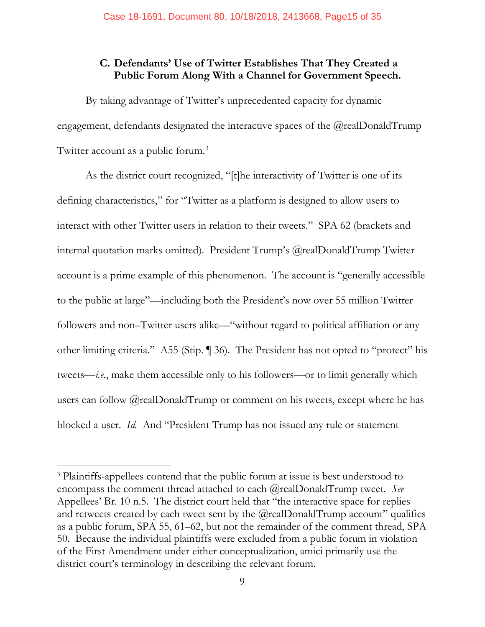## **C. Defendants' Use of Twitter Establishes That They Created a Public Forum Along With a Channel for Government Speech.**

By taking advantage of Twitter's unprecedented capacity for dynamic engagement, defendants designated the interactive spaces of the @realDonaldTrump Twitter account as a public forum.<sup>3</sup>

As the district court recognized, "[t]he interactivity of Twitter is one of its defining characteristics," for "Twitter as a platform is designed to allow users to interact with other Twitter users in relation to their tweets." SPA 62 (brackets and internal quotation marks omitted). President Trump's @realDonaldTrump Twitter account is a prime example of this phenomenon. The account is "generally accessible to the public at large"—including both the President's now over 55 million Twitter followers and non–Twitter users alike—"without regard to political affiliation or any other limiting criteria." A55 (Stip. ¶ 36). The President has not opted to "protect" his tweets—*i.e.*, make them accessible only to his followers—or to limit generally which users can follow  $@realDonaldTrump$  or comment on his tweets, except where he has blocked a user. *Id.* And "President Trump has not issued any rule or statement

<sup>&</sup>lt;sup>3</sup> Plaintiffs-appellees contend that the public forum at issue is best understood to encompass the comment thread attached to each @realDonaldTrump tweet. *See*  Appellees' Br. 10 n.5. The district court held that "the interactive space for replies and retweets created by each tweet sent by the  $@$ realDonaldTrump account" qualifies as a public forum, SPA 55, 61–62, but not the remainder of the comment thread, SPA 50. Because the individual plaintiffs were excluded from a public forum in violation of the First Amendment under either conceptualization, amici primarily use the district court's terminology in describing the relevant forum.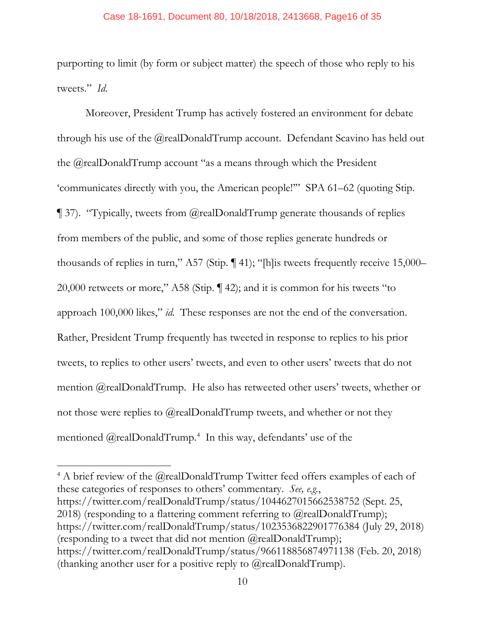purporting to limit (by form or subject matter) the speech of those who reply to his tweets." *Id*.

Moreover, President Trump has actively fostered an environment for debate through his use of the @realDonaldTrump account. Defendant Scavino has held out the @realDonaldTrump account "as a means through which the President 'communicates directly with you, the American people!'" SPA 61–62 (quoting Stip. ¶ 37). "Typically, tweets from @realDonaldTrump generate thousands of replies from members of the public, and some of those replies generate hundreds or thousands of replies in turn," A57 (Stip. ¶ 41); "[h]is tweets frequently receive 15,000– 20,000 retweets or more," A58 (Stip. ¶ 42); and it is common for his tweets "to approach 100,000 likes," *id.* These responses are not the end of the conversation. Rather, President Trump frequently has tweeted in response to replies to his prior tweets, to replies to other users' tweets, and even to other users' tweets that do not mention @realDonaldTrump. He also has retweeted other users' tweets, whether or not those were replies to  $@$  realDonaldTrump tweets, and whether or not they mentioned @realDonaldTrump.4 In this way, defendants' use of the

<sup>4</sup> A brief review of the @realDonaldTrump Twitter feed offers examples of each of these categories of responses to others' commentary. *See, e.g.*, https://twitter.com/realDonaldTrump/status/1044627015662538752 (Sept. 25, 2018) (responding to a flattering comment referring to  $(\partial_{\xi}$  realDonaldTrump); https://twitter.com/realDonaldTrump/status/1023536822901776384 (July 29, 2018) (responding to a tweet that did not mention  $(\partial_{\mathcal{C}})$  realDonaldTrump); https://twitter.com/realDonaldTrump/status/966118856874971138 (Feb. 20, 2018) (thanking another user for a positive reply to  $(\partial_{\xi}$  realDonaldTrump).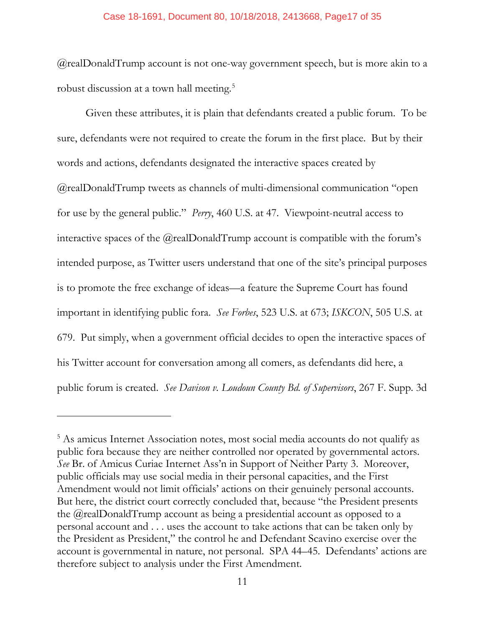@realDonaldTrump account is not one-way government speech, but is more akin to a robust discussion at a town hall meeting.<sup>5</sup>

Given these attributes, it is plain that defendants created a public forum. To be sure, defendants were not required to create the forum in the first place. But by their words and actions, defendants designated the interactive spaces created by @realDonaldTrump tweets as channels of multi-dimensional communication "open for use by the general public." *Perry*, 460 U.S. at 47. Viewpoint-neutral access to interactive spaces of the @realDonaldTrump account is compatible with the forum's intended purpose, as Twitter users understand that one of the site's principal purposes is to promote the free exchange of ideas—a feature the Supreme Court has found important in identifying public fora. *See Forbes*, 523 U.S. at 673; *ISKCON*, 505 U.S. at 679. Put simply, when a government official decides to open the interactive spaces of his Twitter account for conversation among all comers, as defendants did here, a public forum is created. *See Davison v. Loudoun County Bd. of Supervisors*, 267 F. Supp. 3d

<sup>&</sup>lt;sup>5</sup> As amicus Internet Association notes, most social media accounts do not qualify as public fora because they are neither controlled nor operated by governmental actors. *See* Br. of Amicus Curiae Internet Ass'n in Support of Neither Party 3. Moreover, public officials may use social media in their personal capacities, and the First Amendment would not limit officials' actions on their genuinely personal accounts. But here, the district court correctly concluded that, because "the President presents the @realDonaldTrump account as being a presidential account as opposed to a personal account and . . . uses the account to take actions that can be taken only by the President as President," the control he and Defendant Scavino exercise over the account is governmental in nature, not personal. SPA 44–45. Defendants' actions are therefore subject to analysis under the First Amendment.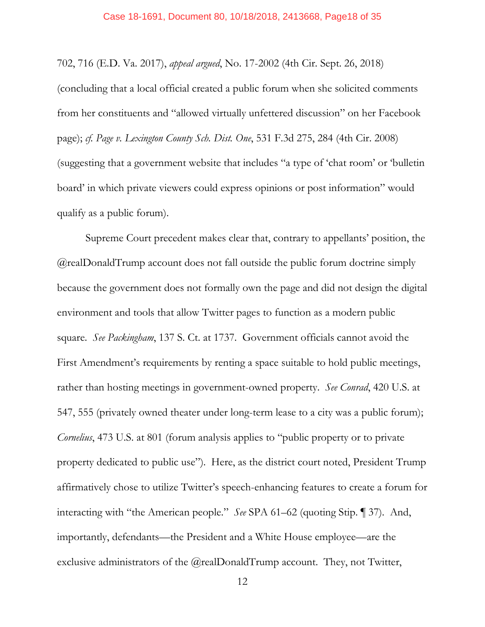#### Case 18-1691, Document 80, 10/18/2018, 2413668, Page18 of 35

702, 716 (E.D. Va. 2017), *appeal argued*, No. 17-2002 (4th Cir. Sept. 26, 2018)

(concluding that a local official created a public forum when she solicited comments from her constituents and "allowed virtually unfettered discussion" on her Facebook page); *cf. Page v. Lexington County Sch. Dist. One*, 531 F.3d 275, 284 (4th Cir. 2008) (suggesting that a government website that includes "a type of 'chat room' or 'bulletin board' in which private viewers could express opinions or post information" would qualify as a public forum).

Supreme Court precedent makes clear that, contrary to appellants' position, the @realDonaldTrump account does not fall outside the public forum doctrine simply because the government does not formally own the page and did not design the digital environment and tools that allow Twitter pages to function as a modern public square. *See Packingham*, 137 S. Ct. at 1737. Government officials cannot avoid the First Amendment's requirements by renting a space suitable to hold public meetings, rather than hosting meetings in government-owned property. *See Conrad*, 420 U.S. at 547, 555 (privately owned theater under long-term lease to a city was a public forum); *Cornelius*, 473 U.S. at 801 (forum analysis applies to "public property or to private property dedicated to public use"). Here, as the district court noted, President Trump affirmatively chose to utilize Twitter's speech-enhancing features to create a forum for interacting with "the American people." *See* SPA 61–62 (quoting Stip. ¶ 37). And, importantly, defendants—the President and a White House employee—are the exclusive administrators of the @realDonaldTrump account. They, not Twitter,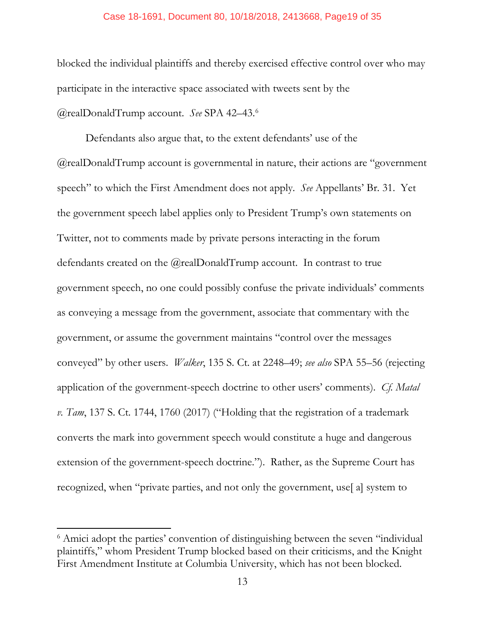#### Case 18-1691, Document 80, 10/18/2018, 2413668, Page19 of 35

blocked the individual plaintiffs and thereby exercised effective control over who may participate in the interactive space associated with tweets sent by the @realDonaldTrump account. *See* SPA 42–43. 6

Defendants also argue that, to the extent defendants' use of the @realDonaldTrump account is governmental in nature, their actions are "government speech" to which the First Amendment does not apply. *See* Appellants' Br. 31. Yet the government speech label applies only to President Trump's own statements on Twitter, not to comments made by private persons interacting in the forum defendants created on the @realDonaldTrump account. In contrast to true government speech, no one could possibly confuse the private individuals' comments as conveying a message from the government, associate that commentary with the government, or assume the government maintains "control over the messages conveyed" by other users. *Walker*, 135 S. Ct. at 2248–49; *see also* SPA 55–56 (rejecting application of the government-speech doctrine to other users' comments). *Cf. Matal v. Tam*, 137 S. Ct. 1744, 1760 (2017) ("Holding that the registration of a trademark converts the mark into government speech would constitute a huge and dangerous extension of the government-speech doctrine."). Rather, as the Supreme Court has recognized, when "private parties, and not only the government, use[ a] system to

<sup>&</sup>lt;sup>6</sup> Amici adopt the parties' convention of distinguishing between the seven "individual" plaintiffs," whom President Trump blocked based on their criticisms, and the Knight First Amendment Institute at Columbia University, which has not been blocked.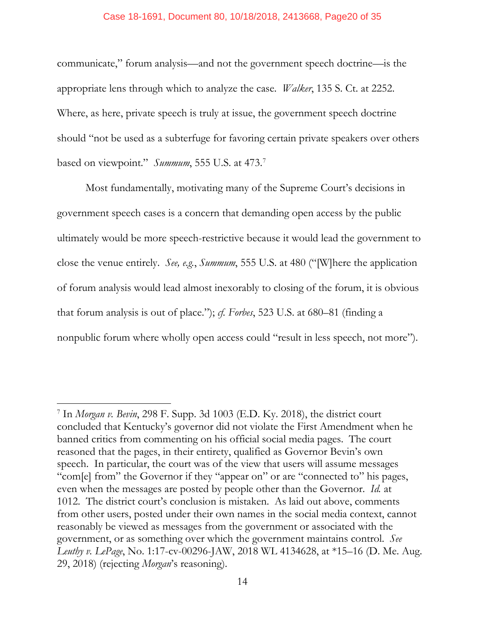#### Case 18-1691, Document 80, 10/18/2018, 2413668, Page20 of 35

communicate," forum analysis—and not the government speech doctrine—is the appropriate lens through which to analyze the case. *Walker*, 135 S. Ct. at 2252. Where, as here, private speech is truly at issue, the government speech doctrine should "not be used as a subterfuge for favoring certain private speakers over others based on viewpoint." *Summum*, 555 U.S. at 473.7

Most fundamentally, motivating many of the Supreme Court's decisions in government speech cases is a concern that demanding open access by the public ultimately would be more speech-restrictive because it would lead the government to close the venue entirely. *See, e.g.*, *Summum*, 555 U.S. at 480 ("[W]here the application of forum analysis would lead almost inexorably to closing of the forum, it is obvious that forum analysis is out of place."); *cf. Forbes*, 523 U.S. at 680–81 (finding a nonpublic forum where wholly open access could "result in less speech, not more").

 $\overline{\phantom{a}}$ 

<sup>7</sup> In *Morgan v. Bevin*, 298 F. Supp. 3d 1003 (E.D. Ky. 2018), the district court concluded that Kentucky's governor did not violate the First Amendment when he banned critics from commenting on his official social media pages. The court reasoned that the pages, in their entirety, qualified as Governor Bevin's own speech. In particular, the court was of the view that users will assume messages "com[e] from" the Governor if they "appear on" or are "connected to" his pages, even when the messages are posted by people other than the Governor. *Id.* at 1012. The district court's conclusion is mistaken. As laid out above, comments from other users, posted under their own names in the social media context, cannot reasonably be viewed as messages from the government or associated with the government, or as something over which the government maintains control. *See Leuthy v. LePage*, No. 1:17-cv-00296-JAW, 2018 WL 4134628, at \*15–16 (D. Me. Aug. 29, 2018) (rejecting *Morgan*'s reasoning).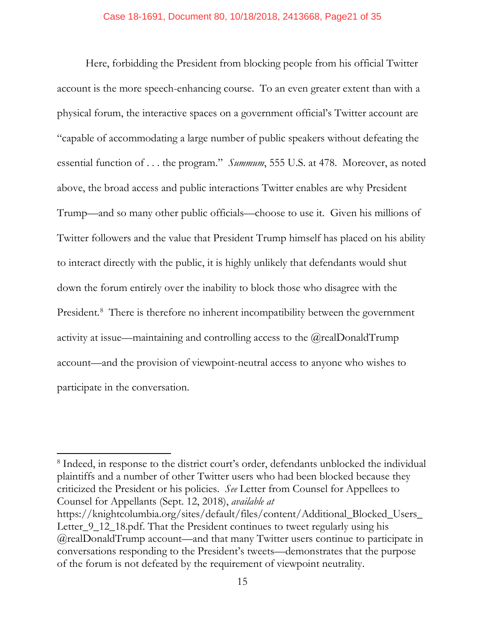Here, forbidding the President from blocking people from his official Twitter account is the more speech-enhancing course. To an even greater extent than with a physical forum, the interactive spaces on a government official's Twitter account are "capable of accommodating a large number of public speakers without defeating the essential function of . . . the program." *Summum*, 555 U.S. at 478. Moreover, as noted above, the broad access and public interactions Twitter enables are why President Trump—and so many other public officials—choose to use it. Given his millions of Twitter followers and the value that President Trump himself has placed on his ability to interact directly with the public, it is highly unlikely that defendants would shut down the forum entirely over the inability to block those who disagree with the President. 8 There is therefore no inherent incompatibility between the government activity at issue—maintaining and controlling access to the @realDonaldTrump account—and the provision of viewpoint-neutral access to anyone who wishes to participate in the conversation.

<sup>8</sup> Indeed, in response to the district court's order, defendants unblocked the individual plaintiffs and a number of other Twitter users who had been blocked because they criticized the President or his policies. *See* Letter from Counsel for Appellees to Counsel for Appellants (Sept. 12, 2018), *available at* 

 $\overline{\phantom{a}}$ 

https://knightcolumbia.org/sites/default/files/content/Additional\_Blocked\_Users\_ Letter\_9\_12\_18.pdf. That the President continues to tweet regularly using his @realDonaldTrump account—and that many Twitter users continue to participate in conversations responding to the President's tweets—demonstrates that the purpose of the forum is not defeated by the requirement of viewpoint neutrality.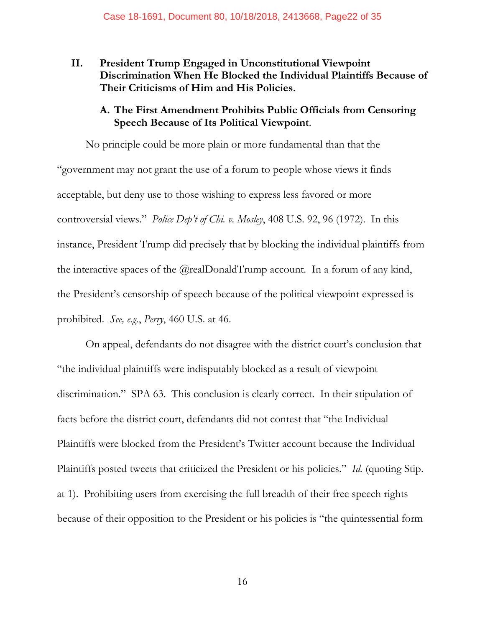**II. President Trump Engaged in Unconstitutional Viewpoint Discrimination When He Blocked the Individual Plaintiffs Because of Their Criticisms of Him and His Policies**.

## **A. The First Amendment Prohibits Public Officials from Censoring Speech Because of Its Political Viewpoint**.

No principle could be more plain or more fundamental than that the "government may not grant the use of a forum to people whose views it finds acceptable, but deny use to those wishing to express less favored or more controversial views." *Police Dep't of Chi. v. Mosley*, 408 U.S. 92, 96 (1972). In this instance, President Trump did precisely that by blocking the individual plaintiffs from the interactive spaces of the @realDonaldTrump account. In a forum of any kind, the President's censorship of speech because of the political viewpoint expressed is prohibited. *See, e.g.*, *Perry*, 460 U.S. at 46.

On appeal, defendants do not disagree with the district court's conclusion that "the individual plaintiffs were indisputably blocked as a result of viewpoint discrimination." SPA 63. This conclusion is clearly correct. In their stipulation of facts before the district court, defendants did not contest that "the Individual Plaintiffs were blocked from the President's Twitter account because the Individual Plaintiffs posted tweets that criticized the President or his policies." *Id.* (quoting Stip. at 1). Prohibiting users from exercising the full breadth of their free speech rights because of their opposition to the President or his policies is "the quintessential form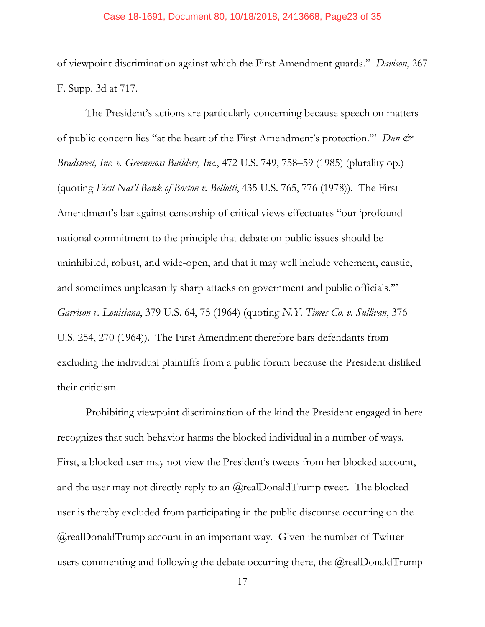#### Case 18-1691, Document 80, 10/18/2018, 2413668, Page23 of 35

of viewpoint discrimination against which the First Amendment guards." *Davison*, 267 F. Supp. 3d at 717.

The President's actions are particularly concerning because speech on matters of public concern lies "at the heart of the First Amendment's protection." *Dun & Bradstreet, Inc. v. Greenmoss Builders, Inc.*, 472 U.S. 749, 758–59 (1985) (plurality op.) (quoting *First Nat'l Bank of Boston v. Bellotti*, 435 U.S. 765, 776 (1978)). The First Amendment's bar against censorship of critical views effectuates "our 'profound national commitment to the principle that debate on public issues should be uninhibited, robust, and wide-open, and that it may well include vehement, caustic, and sometimes unpleasantly sharp attacks on government and public officials.'" *Garrison v. Louisiana*, 379 U.S. 64, 75 (1964) (quoting *N.Y. Times Co. v. Sullivan*, 376 U.S. 254, 270 (1964)). The First Amendment therefore bars defendants from excluding the individual plaintiffs from a public forum because the President disliked their criticism.

Prohibiting viewpoint discrimination of the kind the President engaged in here recognizes that such behavior harms the blocked individual in a number of ways. First, a blocked user may not view the President's tweets from her blocked account, and the user may not directly reply to an  $@$  realDonaldTrump tweet. The blocked user is thereby excluded from participating in the public discourse occurring on the @realDonaldTrump account in an important way. Given the number of Twitter users commenting and following the debate occurring there, the @realDonaldTrump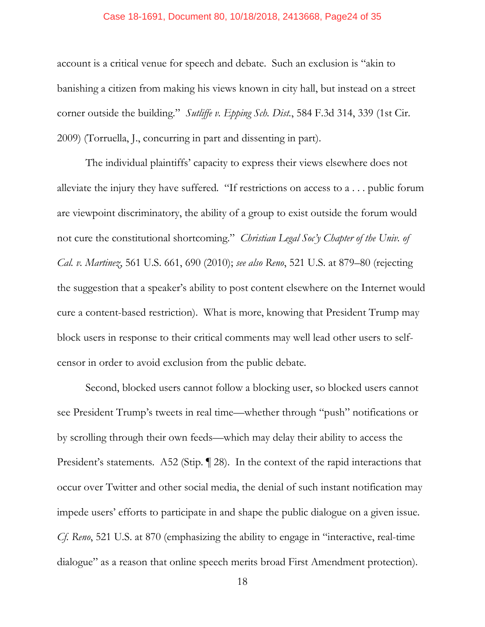#### Case 18-1691, Document 80, 10/18/2018, 2413668, Page24 of 35

account is a critical venue for speech and debate. Such an exclusion is "akin to banishing a citizen from making his views known in city hall, but instead on a street corner outside the building." *Sutliffe v. Epping Sch. Dist.*, 584 F.3d 314, 339 (1st Cir. 2009) (Torruella, J., concurring in part and dissenting in part).

The individual plaintiffs' capacity to express their views elsewhere does not alleviate the injury they have suffered. "If restrictions on access to a . . . public forum are viewpoint discriminatory, the ability of a group to exist outside the forum would not cure the constitutional shortcoming." *Christian Legal Soc'y Chapter of the Univ. of Cal. v. Martinez*, 561 U.S. 661, 690 (2010); *see also Reno*, 521 U.S. at 879–80 (rejecting the suggestion that a speaker's ability to post content elsewhere on the Internet would cure a content-based restriction). What is more, knowing that President Trump may block users in response to their critical comments may well lead other users to selfcensor in order to avoid exclusion from the public debate.

Second, blocked users cannot follow a blocking user, so blocked users cannot see President Trump's tweets in real time—whether through "push" notifications or by scrolling through their own feeds—which may delay their ability to access the President's statements. A52 (Stip. 128). In the context of the rapid interactions that occur over Twitter and other social media, the denial of such instant notification may impede users' efforts to participate in and shape the public dialogue on a given issue. *Cf. Reno*, 521 U.S. at 870 (emphasizing the ability to engage in "interactive, real-time dialogue" as a reason that online speech merits broad First Amendment protection).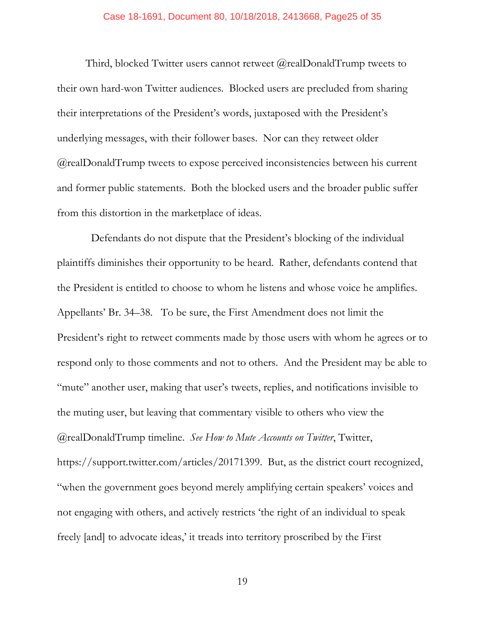Third, blocked Twitter users cannot retweet @realDonaldTrump tweets to their own hard-won Twitter audiences. Blocked users are precluded from sharing their interpretations of the President's words, juxtaposed with the President's underlying messages, with their follower bases. Nor can they retweet older @realDonaldTrump tweets to expose perceived inconsistencies between his current and former public statements. Both the blocked users and the broader public suffer from this distortion in the marketplace of ideas.

 Defendants do not dispute that the President's blocking of the individual plaintiffs diminishes their opportunity to be heard. Rather, defendants contend that the President is entitled to choose to whom he listens and whose voice he amplifies. Appellants' Br. 34–38. To be sure, the First Amendment does not limit the President's right to retweet comments made by those users with whom he agrees or to respond only to those comments and not to others. And the President may be able to "mute" another user, making that user's tweets, replies, and notifications invisible to the muting user, but leaving that commentary visible to others who view the @realDonaldTrump timeline. *See How to Mute Accounts on Twitter*, Twitter, https://support.twitter.com/articles/20171399. But, as the district court recognized, "when the government goes beyond merely amplifying certain speakers' voices and not engaging with others, and actively restricts 'the right of an individual to speak freely [and] to advocate ideas,' it treads into territory proscribed by the First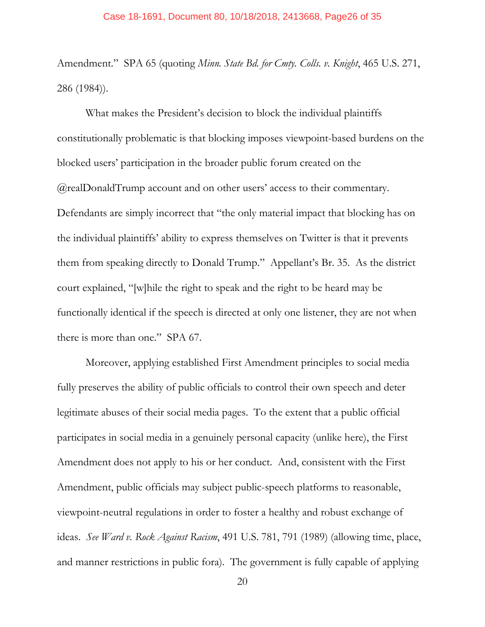Amendment." SPA 65 (quoting *Minn. State Bd. for Cmty. Colls. v. Knight*, 465 U.S. 271, 286 (1984)).

What makes the President's decision to block the individual plaintiffs constitutionally problematic is that blocking imposes viewpoint-based burdens on the blocked users' participation in the broader public forum created on the @realDonaldTrump account and on other users' access to their commentary. Defendants are simply incorrect that "the only material impact that blocking has on the individual plaintiffs' ability to express themselves on Twitter is that it prevents them from speaking directly to Donald Trump." Appellant's Br. 35. As the district court explained, "[w]hile the right to speak and the right to be heard may be functionally identical if the speech is directed at only one listener, they are not when there is more than one." SPA 67.

Moreover, applying established First Amendment principles to social media fully preserves the ability of public officials to control their own speech and deter legitimate abuses of their social media pages. To the extent that a public official participates in social media in a genuinely personal capacity (unlike here), the First Amendment does not apply to his or her conduct. And, consistent with the First Amendment, public officials may subject public-speech platforms to reasonable, viewpoint-neutral regulations in order to foster a healthy and robust exchange of ideas. *See Ward v. Rock Against Racism*, 491 U.S. 781, 791 (1989) (allowing time, place, and manner restrictions in public fora). The government is fully capable of applying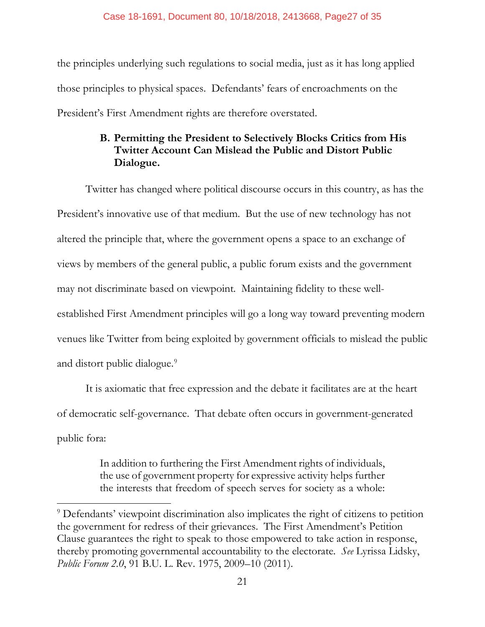the principles underlying such regulations to social media, just as it has long applied those principles to physical spaces. Defendants' fears of encroachments on the President's First Amendment rights are therefore overstated.

# **B. Permitting the President to Selectively Blocks Critics from His Twitter Account Can Mislead the Public and Distort Public Dialogue.**

Twitter has changed where political discourse occurs in this country, as has the President's innovative use of that medium. But the use of new technology has not altered the principle that, where the government opens a space to an exchange of views by members of the general public, a public forum exists and the government may not discriminate based on viewpoint. Maintaining fidelity to these wellestablished First Amendment principles will go a long way toward preventing modern venues like Twitter from being exploited by government officials to mislead the public and distort public dialogue.<sup>9</sup>

It is axiomatic that free expression and the debate it facilitates are at the heart of democratic self-governance. That debate often occurs in government-generated public fora:

> In addition to furthering the First Amendment rights of individuals, the use of government property for expressive activity helps further the interests that freedom of speech serves for society as a whole:

 $\overline{\phantom{a}}$ 

<sup>&</sup>lt;sup>9</sup> Defendants' viewpoint discrimination also implicates the right of citizens to petition the government for redress of their grievances. The First Amendment's Petition Clause guarantees the right to speak to those empowered to take action in response, thereby promoting governmental accountability to the electorate. *See* Lyrissa Lidsky, *Public Forum 2.0*, 91 B.U. L. Rev. 1975, 2009–10 (2011).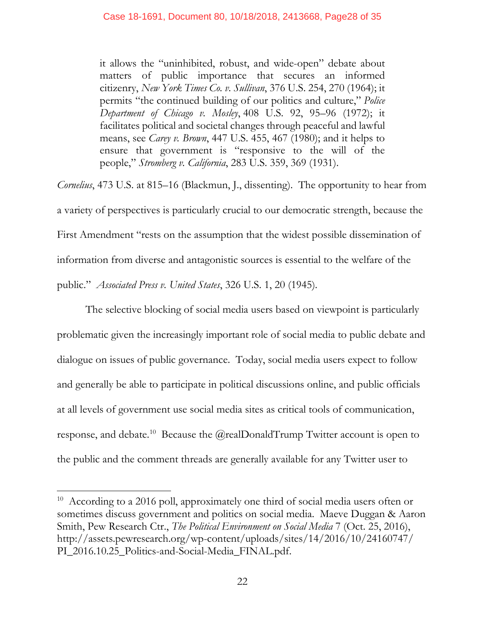it allows the "uninhibited, robust, and wide-open" debate about matters of public importance that secures an informed citizenry, *New York Times Co. v. Sullivan*, 376 U.S. 254, 270 (1964); it permits "the continued building of our politics and culture," *Police Department of Chicago v. Mosley*, 408 U.S. 92, 95–96 (1972); it facilitates political and societal changes through peaceful and lawful means, see *Carey v. Brown*, 447 U.S. 455, 467 (1980); and it helps to ensure that government is "responsive to the will of the people," *Stromberg v. California*, 283 U.S. 359, 369 (1931).

*Cornelius*, 473 U.S. at 815–16 (Blackmun, J., dissenting). The opportunity to hear from a variety of perspectives is particularly crucial to our democratic strength, because the First Amendment "rests on the assumption that the widest possible dissemination of information from diverse and antagonistic sources is essential to the welfare of the public." *Associated Press v. United States*, 326 U.S. 1, 20 (1945).

The selective blocking of social media users based on viewpoint is particularly problematic given the increasingly important role of social media to public debate and dialogue on issues of public governance. Today, social media users expect to follow and generally be able to participate in political discussions online, and public officials at all levels of government use social media sites as critical tools of communication, response, and debate.<sup>10</sup> Because the @realDonaldTrump Twitter account is open to the public and the comment threads are generally available for any Twitter user to

 $\overline{\phantom{a}}$ 

<sup>&</sup>lt;sup>10</sup> According to a 2016 poll, approximately one third of social media users often or sometimes discuss government and politics on social media. Maeve Duggan & Aaron Smith, Pew Research Ctr., *The Political Environment on Social Media* 7 (Oct. 25, 2016), http://assets.pewresearch.org/wp-content/uploads/sites/14/2016/10/24160747/ PI\_2016.10.25\_Politics-and-Social-Media\_FINAL.pdf.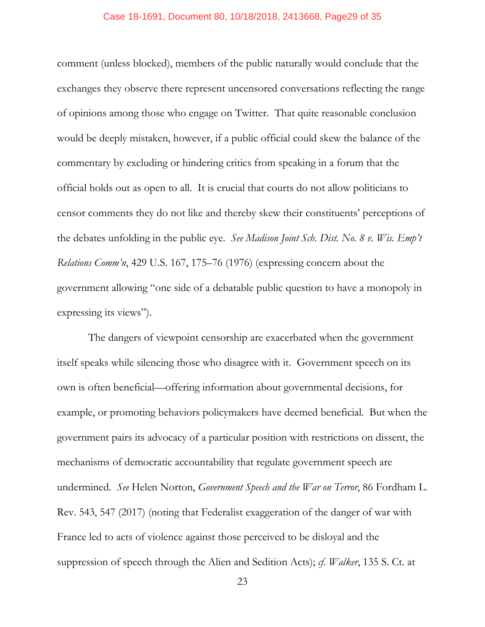## Case 18-1691, Document 80, 10/18/2018, 2413668, Page29 of 35

comment (unless blocked), members of the public naturally would conclude that the exchanges they observe there represent uncensored conversations reflecting the range of opinions among those who engage on Twitter. That quite reasonable conclusion would be deeply mistaken, however, if a public official could skew the balance of the commentary by excluding or hindering critics from speaking in a forum that the official holds out as open to all. It is crucial that courts do not allow politicians to censor comments they do not like and thereby skew their constituents' perceptions of the debates unfolding in the public eye. *See Madison Joint Sch. Dist. No. 8 v. Wis. Emp't Relations Comm'n*, 429 U.S. 167, 175–76 (1976) (expressing concern about the government allowing "one side of a debatable public question to have a monopoly in expressing its views").

The dangers of viewpoint censorship are exacerbated when the government itself speaks while silencing those who disagree with it. Government speech on its own is often beneficial—offering information about governmental decisions, for example, or promoting behaviors policymakers have deemed beneficial. But when the government pairs its advocacy of a particular position with restrictions on dissent, the mechanisms of democratic accountability that regulate government speech are undermined. *See* Helen Norton, *Government Speech and the War on Terror*, 86 Fordham L. Rev. 543, 547 (2017) (noting that Federalist exaggeration of the danger of war with France led to acts of violence against those perceived to be disloyal and the suppression of speech through the Alien and Sedition Acts); *cf. Walker*, 135 S. Ct. at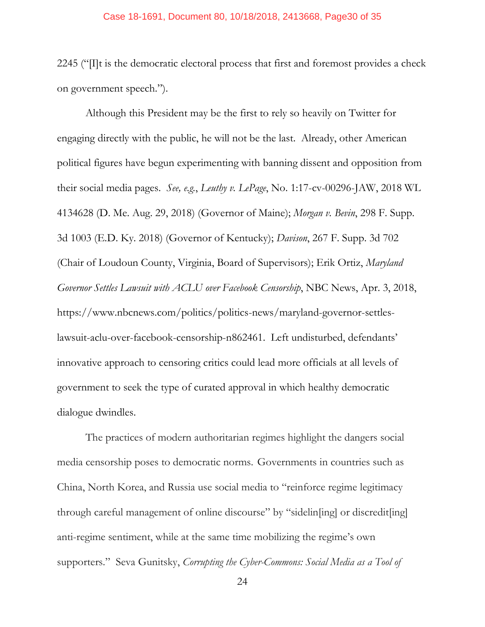#### Case 18-1691, Document 80, 10/18/2018, 2413668, Page30 of 35

2245 ("[I]t is the democratic electoral process that first and foremost provides a check on government speech.").

Although this President may be the first to rely so heavily on Twitter for engaging directly with the public, he will not be the last. Already, other American political figures have begun experimenting with banning dissent and opposition from their social media pages. *See, e.g.*, *Leuthy v. LePage*, No. 1:17-cv-00296-JAW, 2018 WL 4134628 (D. Me. Aug. 29, 2018) (Governor of Maine); *Morgan v. Bevin*, 298 F. Supp. 3d 1003 (E.D. Ky. 2018) (Governor of Kentucky); *Davison*, 267 F. Supp. 3d 702 (Chair of Loudoun County, Virginia, Board of Supervisors); Erik Ortiz, *Maryland Governor Settles Lawsuit with ACLU over Facebook Censorship*, NBC News, Apr. 3, 2018, https://www.nbcnews.com/politics/politics-news/maryland-governor-settleslawsuit-aclu-over-facebook-censorship-n862461. Left undisturbed, defendants' innovative approach to censoring critics could lead more officials at all levels of government to seek the type of curated approval in which healthy democratic dialogue dwindles.

The practices of modern authoritarian regimes highlight the dangers social media censorship poses to democratic norms. Governments in countries such as China, North Korea, and Russia use social media to "reinforce regime legitimacy through careful management of online discourse" by "sidelin[ing] or discredit[ing] anti-regime sentiment, while at the same time mobilizing the regime's own supporters." Seva Gunitsky, *Corrupting the Cyber-Commons: Social Media as a Tool of*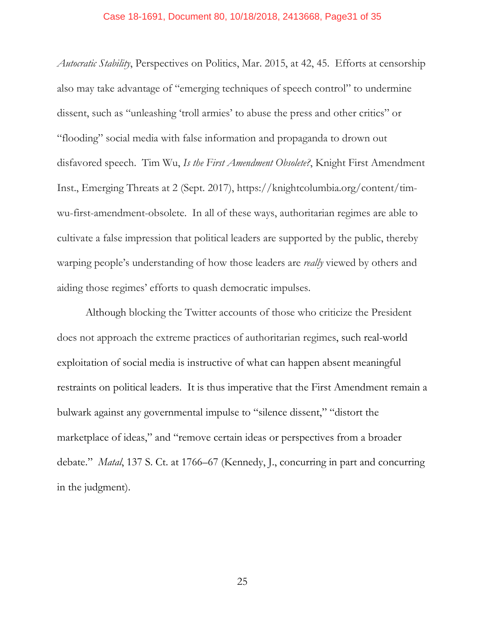#### Case 18-1691, Document 80, 10/18/2018, 2413668, Page31 of 35

*Autocratic Stability*, Perspectives on Politics, Mar. 2015, at 42, 45. Efforts at censorship also may take advantage of "emerging techniques of speech control" to undermine dissent, such as "unleashing 'troll armies' to abuse the press and other critics" or "flooding" social media with false information and propaganda to drown out disfavored speech. Tim Wu, *Is the First Amendment Obsolete?*, Knight First Amendment Inst., Emerging Threats at 2 (Sept. 2017), https://knightcolumbia.org/content/timwu-first-amendment-obsolete. In all of these ways, authoritarian regimes are able to cultivate a false impression that political leaders are supported by the public, thereby warping people's understanding of how those leaders are *really* viewed by others and aiding those regimes' efforts to quash democratic impulses.

Although blocking the Twitter accounts of those who criticize the President does not approach the extreme practices of authoritarian regimes, such real-world exploitation of social media is instructive of what can happen absent meaningful restraints on political leaders. It is thus imperative that the First Amendment remain a bulwark against any governmental impulse to "silence dissent," "distort the marketplace of ideas," and "remove certain ideas or perspectives from a broader debate." *Matal*, 137 S. Ct. at 1766–67 (Kennedy, J., concurring in part and concurring in the judgment).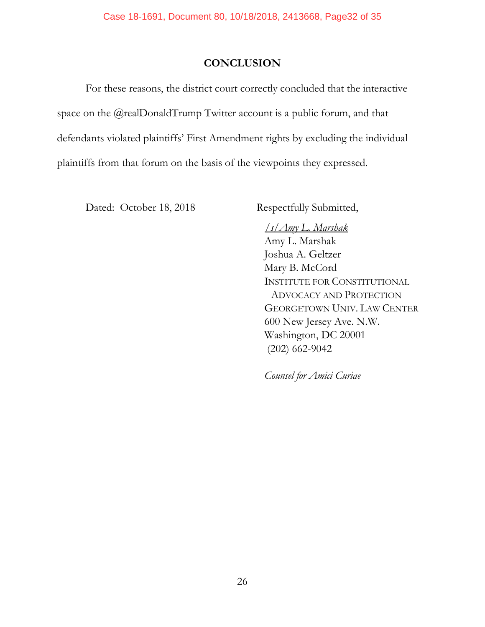## **CONCLUSION**

For these reasons, the district court correctly concluded that the interactive space on the @realDonaldTrump Twitter account is a public forum, and that defendants violated plaintiffs' First Amendment rights by excluding the individual plaintiffs from that forum on the basis of the viewpoints they expressed.

Dated: October 18, 2018 Respectfully Submitted,

 */s/Amy L. Marshak* Amy L. Marshak Joshua A. Geltzer Mary B. McCord INSTITUTE FOR CONSTITUTIONAL ADVOCACY AND PROTECTION GEORGETOWN UNIV. LAW CENTER 600 New Jersey Ave. N.W. Washington, DC 20001 (202) 662-9042

*Counsel for Amici Curiae*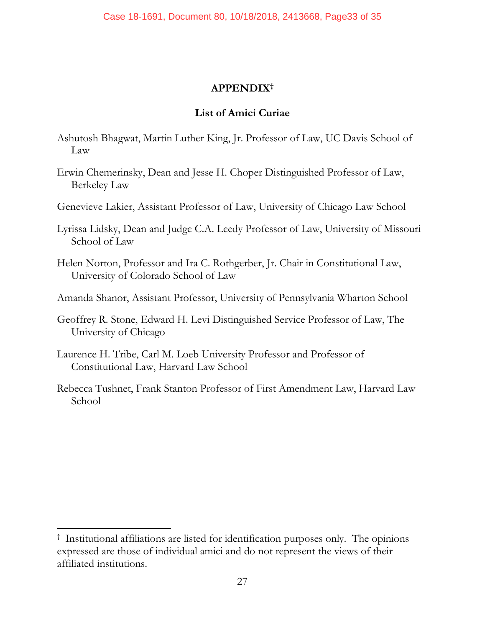## **APPENDIX†**

## **List of Amici Curiae**

- Ashutosh Bhagwat, Martin Luther King, Jr. Professor of Law, UC Davis School of Law
- Erwin Chemerinsky, Dean and Jesse H. Choper Distinguished Professor of Law, Berkeley Law
- Genevieve Lakier, Assistant Professor of Law, University of Chicago Law School
- Lyrissa Lidsky, Dean and Judge C.A. Leedy Professor of Law, University of Missouri School of Law
- Helen Norton, Professor and Ira C. Rothgerber, Jr. Chair in Constitutional Law, University of Colorado School of Law
- Amanda Shanor, Assistant Professor, University of Pennsylvania Wharton School
- Geoffrey R. Stone, Edward H. Levi Distinguished Service Professor of Law, The University of Chicago
- Laurence H. Tribe, Carl M. Loeb University Professor and Professor of Constitutional Law, Harvard Law School
- Rebecca Tushnet, Frank Stanton Professor of First Amendment Law, Harvard Law School

<sup>†</sup> Institutional affiliations are listed for identification purposes only. The opinions expressed are those of individual amici and do not represent the views of their affiliated institutions.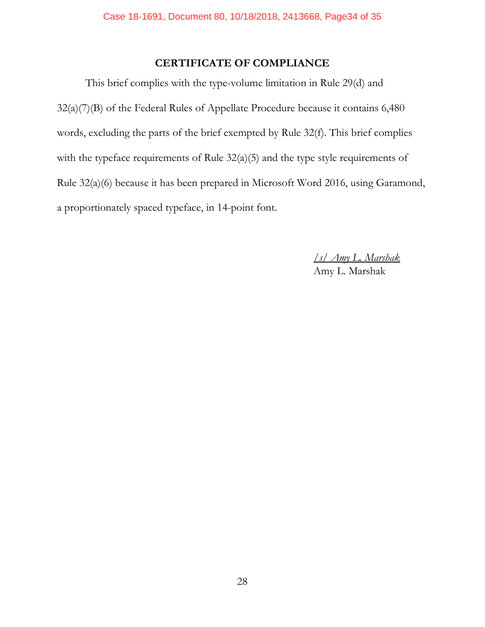# **CERTIFICATE OF COMPLIANCE**

This brief complies with the type-volume limitation in Rule 29(d) and 32(a)(7)(B) of the Federal Rules of Appellate Procedure because it contains 6,480 words, excluding the parts of the brief exempted by Rule 32(f). This brief complies with the typeface requirements of Rule 32(a)(5) and the type style requirements of Rule 32(a)(6) because it has been prepared in Microsoft Word 2016, using Garamond, a proportionately spaced typeface, in 14-point font.

> */s/ Amy L. Marshak* Amy L. Marshak